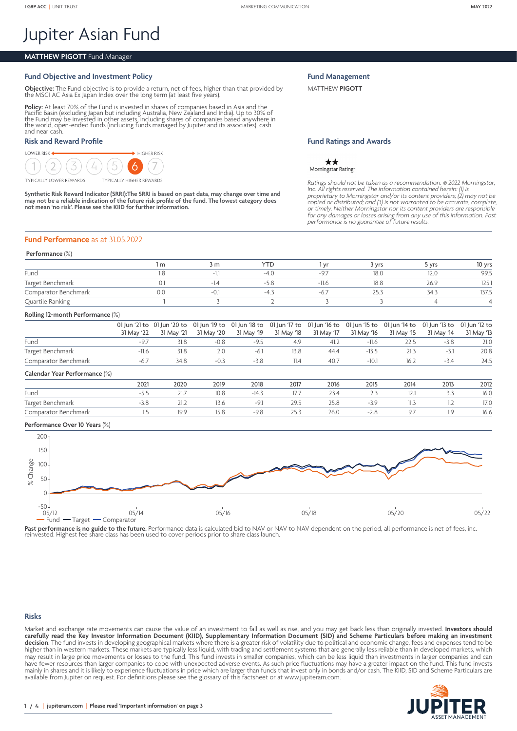# Jupiter Asian Fund

# **MATTHEW PIGOTT** Fund Manager

# **Fund Objective and Investment Policy**

**Objective:** The Fund objective is to provide a return, net of fees, higher than that provided by the MSCI AC Asia Ex Japan Index over the long term (at least five years).

**Policy:** At least 70% of the Fund is invested in shares of companies based in Asia and the<br>Pacific Basin (excluding Japan but including Australia, New Zealand and India). Up to 30% of<br>the Fund may be invested in other ass the world, open-ended funds (including funds managed by Jupiter and its associates), cash and near cash.

## **Risk and Reward Profile**



Synthetic Risk Reward Indicator (SRRI):The SRRI is based on past data, may change over time and<br>may not be a reliable indication of the future risk profile of the fund. The lowest category does<br>not mean 'no risk'. Please s

**Fund Management**

MATTHEW **PIGOTT**

## **Fund Ratings and Awards**

\*\* Morningstar Rating

*Ratings should not be taken as a recommendation.* © *2022 Morningstar,*  Inc. All rights reserved. The information contained herein: (1) is<br>proprietary to Morningstar and/or its content providers; (2) may not be<br>copied or distributed; and (3) is not warranted to be accurate, complete, *or timely. Neither Morningstar nor its content providers are responsible for any damages or losses arising from any use of this information. Past performance is no guarantee of future results.*

#### **Fund Performance** as at 31.05.2022

#### **Performance** (%)

|                      | 3 m   | $\sim$             |         | 3 vrs    | vrs  | 10 yrs       |
|----------------------|-------|--------------------|---------|----------|------|--------------|
| Fund                 |       |                    |         | 18.0     |      | 99.5         |
| Target Benchmark     | $-14$ | $-5 \times$<br>ے ر | $-11.6$ | 18.8     | 26.9 | $-1$<br>IZ5. |
| Comparator Benchmark | -U.,  | -4                 |         | $\angle$ |      | 137.5        |
| Quartile Ranking     |       |                    |         |          |      |              |

#### **Rolling 12-month Performance** (%)

|                      | 01 Jun '21 to 01 Jun '20 to 01 Jun '19 to 01 Jun '18 to 01 Jun '17 to 01 Jun '16 to 01 Jun '15 to 01 Jun '14 to 01 Jun '13 to 01 Jun '12 to |        |        |      |      |            |            |            |            |
|----------------------|---------------------------------------------------------------------------------------------------------------------------------------------|--------|--------|------|------|------------|------------|------------|------------|
|                      | 31 May '22 31 May '21 31 May '20 31 May '19 31 May '18 31 May '17                                                                           |        |        |      |      | 31 May '16 | 31 May '15 | 31 May '14 | 31 May '13 |
| Fund                 | 31.8                                                                                                                                        | $-0.8$ | $-9.5$ | 49   | 41.2 | $-11.6$    |            | $-3.8$     | 21.0       |
| Target Benchmark     |                                                                                                                                             | 2.0    | $-6.1$ | 13.8 | 44.4 | $-13.5$    |            |            | 20.8       |
| Comparator Benchmark | 34.8                                                                                                                                        |        | $-3.8$ |      | 40.7 | $-10.1$    | 16.7       | $-3.4$     | 24.5       |

#### **Calendar Year Performance** (%)

|                      | 2021 | 2020       | 2019 | 2018 | 2017                           | 2016 | 2015 | 2014 | 2013  | 2012                    |
|----------------------|------|------------|------|------|--------------------------------|------|------|------|-------|-------------------------|
| Fund                 |      | $\sim$ 1.1 | 10.8 |      | $\rightarrow$<br>$\frac{1}{2}$ |      |      | IZ.I | ر . ر | 16.0                    |
| Target Benchmark     |      | 21.2       | 13.C |      | 29.5                           | 23.O |      |      |       | 17 <sub>0</sub><br>11.0 |
| Comparator Benchmark |      | 19.9       |      |      |                                | 26.U |      |      | 1.9   | 16.6                    |

#### **Performance Over 10 Years** (%)



Past performance is no guide to the future. Performance data is calculated bid to NAV or NAV to NAV dependent on the period, all performance is net of fees, inc<br>reinvested. Highest fee share class has been used to cover pe

## **Risks**

Market and exchange rate movements can cause the value of an investment to fall as well as rise, and you may get back less than originally invested. **Investors should carefully read the Key Investor Information Document (KIID), Supplementary Information Document (SID) and Scheme Particulars before making an investment decision**. The fund invests in developing geographical markets where there is a greater risk of volatility due to political and economic change, fees and expenses tend to be higher than in western markets. These markets are typically less liquid, with trading and settlement systems that are generally less reliable than in developed markets, which may result in large price movements or losses to the fund. This fund invests in smaller companies, which can be less liquid than investments in larger companies and can have fewer resources than larger companies to cope with unexpected adverse events. As such price fluctuations may have a greater impact on the fund. This fund invests mainly in shares and it is likely to experience fluctuations in price which are larger than funds that invest only in bonds and/or cash. The KIID, SID and Scheme Particulars are available from Jupiter on request. For definitions please see the glossary of this factsheet or at <www.jupiteram.com>.

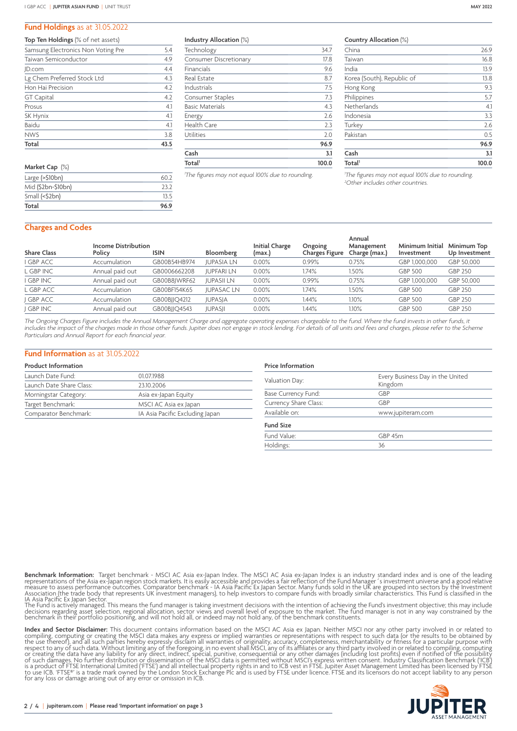#### **Fund Holdings** as at 31.05.2022

| <b>Top Ten Holdings</b> (% of net assets) |      |
|-------------------------------------------|------|
| Samsung Electronics Non Voting Pre        | 5.4  |
| Taiwan Semiconductor                      | 4.9  |
| JD.com                                    | 4.4  |
| Lg Chem Preferred Stock Ltd               | 4.3  |
| Hon Hai Precision                         | 4.2  |
| <b>GT</b> Capital                         | 4.2  |
| Prosus                                    | 4.1  |
| SK Hynix                                  | 4.1  |
| Baidu                                     | 4.1  |
| <b>NWS</b>                                | 3.8  |
| Total                                     | 43.5 |
|                                           |      |

| Market Cap (%)        |      |  |
|-----------------------|------|--|
| Large $($ >\$10 $bn)$ | 60 2 |  |
| Mid (\$2bn-\$10bn)    | 737  |  |
| Small (<\$2bn)        | 135  |  |
| Total                 | 96.9 |  |

**Industry Allocation** (%)

| Total <sup>1</sup>            | 100.0       |
|-------------------------------|-------------|
| Cash                          | 96.9<br>3.1 |
| Utilities                     | 2.0         |
| <b>Health Care</b>            | 2.3         |
| Energy                        | 2.6         |
| <b>Basic Materials</b>        | 4.3         |
| Consumer Staples              | 7.3         |
| Industrials                   | 7.5         |
| Real Estate                   | 8.7         |
| Financials                    | 9.6         |
| <b>Consumer Discretionary</b> | 17.8        |
| Technology                    | 34.7        |

*1 The figures may not equal 100% due to rounding.*

#### **Country Allocation** (%)

| China                      | 26.9  |
|----------------------------|-------|
| Taiwan                     | 16.8  |
| India                      | 13.9  |
| Korea (South), Republic of | 13.8  |
| Hong Kong                  | 9.3   |
| Philippines                | 5.7   |
| Netherlands                | 4.1   |
| Indonesia                  | 3.3   |
| Turkey                     | 2.6   |
| Pakistan                   | 0.5   |
|                            | 96.9  |
| Cash                       | 3.1   |
| Total <sup>1</sup>         | 100.0 |

*1 The figures may not equal 100% due to rounding. 2 Other includes other countries.*

## **Charges and Codes**

| <b>Share Class</b> | <b>Income Distribution</b><br>Policy | <b>ISIN</b>  | Bloomberg         | <b>Initial Charge</b><br>(max.) | Ongoing<br><b>Charges Figure</b> | Annual<br>Management<br>Charge (max.) | Minimum Initial<br>Investment | Minimum Top<br>Up Investment |
|--------------------|--------------------------------------|--------------|-------------------|---------------------------------|----------------------------------|---------------------------------------|-------------------------------|------------------------------|
| <b>GBP ACC</b>     | Accumulation                         | GB00B54HB974 | <b>JUPASIA LN</b> | 0.00%                           | 0.99%                            | 0.75%                                 | GBP 1,000,000                 | GBP 50,000                   |
| L GBP INC          | Annual paid out                      | GB0006662208 | <b>JUPFARI LN</b> | $0.00\%$                        | .74%                             | 1.50%                                 | <b>GBP 500</b>                | GBP 250                      |
| <b>GBP INC</b>     | Annual paid out                      | GB00B8JWRF62 | <b>JUPASII LN</b> | 0.00%                           | 0.99%                            | 0.75%                                 | GBP 1,000,000                 | GBP 50,000                   |
| L GBP ACC          | Accumulation                         | GB00BF154K65 | <b>JUPASAC LN</b> | $0.00\%$                        | 1.74%                            | 1.50%                                 | <b>GBP 500</b>                | GBP 250                      |
| <b>GBP ACC</b>     | Accumulation                         | GB00BJJQ4212 | <b>JUPASJA</b>    | $0.00\%$                        | 1.44%                            | 1.10%                                 | <b>GBP 500</b>                | GBP 250                      |
| <b>GBP INC</b>     | Annual paid out                      | GB00BJJQ4543 | <b>JUPASJI</b>    | $0.00\%$                        | l.44%                            | 1.10%                                 | <b>GBP 500</b>                | GBP 250                      |
|                    |                                      |              |                   |                                 |                                  |                                       |                               |                              |

*The Ongoing Charges Figure includes the Annual Management Charge and aggregate operating expenses chargeable to the fund. Where the fund invests in other funds, it includes the impact of the charges made in those other funds. Jupiter does not engage in stock lending. For details of all units and fees and charges, please refer to the Scheme Particulars and Annual Report for each financial year.*

#### **Fund Information** as at 31.05.2022

## **Product Information**

| Launch Date Fund:        | 01.07.1988                      |
|--------------------------|---------------------------------|
| Launch Date Share Class: | 23.10.2006                      |
| Morningstar Category:    | Asia ex-Japan Equity            |
| Target Benchmark:        | MSCI AC Asia ex Japan           |
| Comparator Benchmark:    | IA Asia Pacific Excluding Japan |

| <b>Price Information</b> |  |
|--------------------------|--|
|                          |  |

| Valuation Day:        | Every Business Day in the United<br>Kingdom |  |  |  |  |
|-----------------------|---------------------------------------------|--|--|--|--|
| Base Currency Fund:   | GBP                                         |  |  |  |  |
| Currency Share Class: | GBP                                         |  |  |  |  |
| Available on:         | www.jupiteram.com                           |  |  |  |  |
| <b>Fund Size</b>      |                                             |  |  |  |  |
| Fund Value:           | GBP 45m                                     |  |  |  |  |
| Holdings:             | 36                                          |  |  |  |  |

**Benchmark Information:** Target benchmark - MSCI AC Asia ex-Japan Index. The MSCI AC Asia ex-Japan Index is an industry standard index and is one of the leading<br>representations of the Asia ex-Japan region stock markets. It

The Fund is actively managed. This means the fund manager is taking investment decisions with the intention of achieving the Fund's investment objective; this may include<br>decisions regarding asset selection, regional alloc

**Index and Sector Disclaimer:** This document contains information based on the MSCI AC Asia ex Japan. Neither MSCI nor any other party involved in or related to<br>compiling, computing or creating the MSCI data makes any expr for any loss or damage arising out of any error or omission in ICB.

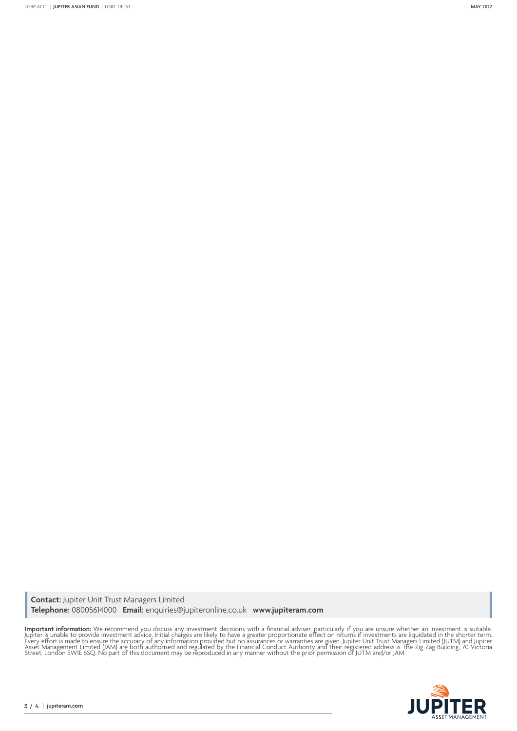**Contact:** Jupiter Unit Trust Managers Limited **Telephone:** 08005614000 **Email:** enquiries@jupiteronline.co.uk **www.jupiteram.com**

**Important information:** We recommend you discuss any investment decisions with a financial adviser, particularly if you are unsure whether an investment is suitable.<br>Jupiter is unable to provide investment advice. Initial